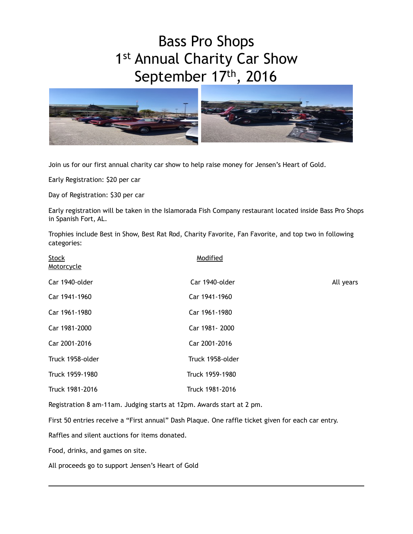## Bass Pro Shops 1st Annual Charity Car Show September 17th, 2016



Join us for our first annual charity car show to help raise money for Jensen's Heart of Gold.

Early Registration: \$20 per car

Day of Registration: \$30 per car

Early registration will be taken in the Islamorada Fish Company restaurant located inside Bass Pro Shops in Spanish Fort, AL.

Trophies include Best in Show, Best Rat Rod, Charity Favorite, Fan Favorite, and top two in following categories:

| <b>Stock</b><br>Motorcycle | Modified         |           |
|----------------------------|------------------|-----------|
| Car 1940-older             | Car 1940-older   | All years |
| Car 1941-1960              | Car 1941-1960    |           |
| Car 1961-1980              | Car 1961-1980    |           |
| Car 1981-2000              | Car 1981-2000    |           |
| Car 2001-2016              | Car 2001-2016    |           |
| Truck 1958-older           | Truck 1958-older |           |
| Truck 1959-1980            | Truck 1959-1980  |           |
| Truck 1981-2016            | Truck 1981-2016  |           |
|                            |                  |           |

Registration 8 am-11am. Judging starts at 12pm. Awards start at 2 pm.

First 50 entries receive a "First annual" Dash Plaque. One raffle ticket given for each car entry.

Raffles and silent auctions for items donated.

Food, drinks, and games on site.

All proceeds go to support Jensen's Heart of Gold